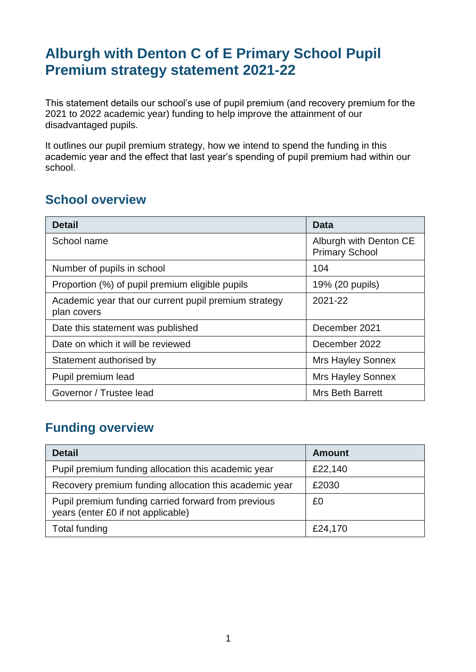## **Alburgh with Denton C of E Primary School Pupil Premium strategy statement 2021-22**

This statement details our school's use of pupil premium (and recovery premium for the 2021 to 2022 academic year) funding to help improve the attainment of our disadvantaged pupils.

It outlines our pupil premium strategy, how we intend to spend the funding in this academic year and the effect that last year's spending of pupil premium had within our school.

### **School overview**

| <b>Detail</b>                                                        | Data                                            |
|----------------------------------------------------------------------|-------------------------------------------------|
| School name                                                          | Alburgh with Denton CE<br><b>Primary School</b> |
| Number of pupils in school                                           | 104                                             |
| Proportion (%) of pupil premium eligible pupils                      | 19% (20 pupils)                                 |
| Academic year that our current pupil premium strategy<br>plan covers | 2021-22                                         |
| Date this statement was published                                    | December 2021                                   |
| Date on which it will be reviewed                                    | December 2022                                   |
| Statement authorised by                                              | <b>Mrs Hayley Sonnex</b>                        |
| Pupil premium lead                                                   | <b>Mrs Hayley Sonnex</b>                        |
| Governor / Trustee lead                                              | <b>Mrs Beth Barrett</b>                         |

### **Funding overview**

| <b>Detail</b>                                                                             | <b>Amount</b> |
|-------------------------------------------------------------------------------------------|---------------|
| Pupil premium funding allocation this academic year                                       | £22,140       |
| Recovery premium funding allocation this academic year                                    | £2030         |
| Pupil premium funding carried forward from previous<br>years (enter £0 if not applicable) | £0            |
| <b>Total funding</b>                                                                      | £24,170       |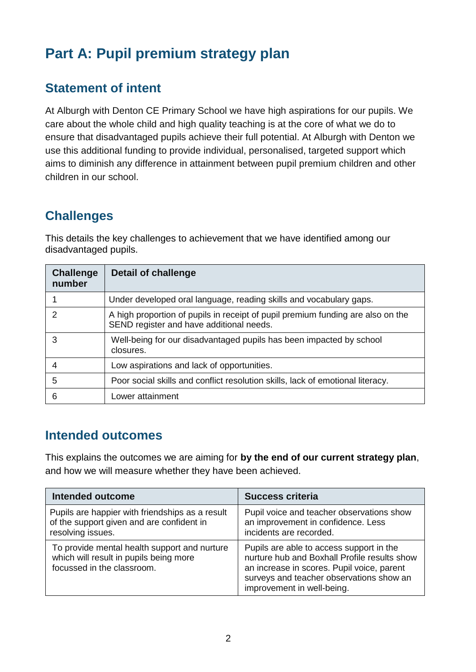# **Part A: Pupil premium strategy plan**

#### **Statement of intent**

At Alburgh with Denton CE Primary School we have high aspirations for our pupils. We care about the whole child and high quality teaching is at the core of what we do to ensure that disadvantaged pupils achieve their full potential. At Alburgh with Denton we use this additional funding to provide individual, personalised, targeted support which aims to diminish any difference in attainment between pupil premium children and other children in our school.

### **Challenges**

This details the key challenges to achievement that we have identified among our disadvantaged pupils.

| <b>Challenge</b><br>number | <b>Detail of challenge</b>                                                                                                  |
|----------------------------|-----------------------------------------------------------------------------------------------------------------------------|
|                            | Under developed oral language, reading skills and vocabulary gaps.                                                          |
| $\mathcal{P}$              | A high proportion of pupils in receipt of pupil premium funding are also on the<br>SEND register and have additional needs. |
| 3                          | Well-being for our disadvantaged pupils has been impacted by school<br>closures.                                            |
| 4                          | Low aspirations and lack of opportunities.                                                                                  |
| 5                          | Poor social skills and conflict resolution skills, lack of emotional literacy.                                              |
| 6                          | Lower attainment                                                                                                            |

#### **Intended outcomes**

This explains the outcomes we are aiming for **by the end of our current strategy plan**, and how we will measure whether they have been achieved.

| <b>Intended outcome</b>                                                                                              | <b>Success criteria</b>                                                                                                                                                                                          |
|----------------------------------------------------------------------------------------------------------------------|------------------------------------------------------------------------------------------------------------------------------------------------------------------------------------------------------------------|
| Pupils are happier with friendships as a result<br>of the support given and are confident in<br>resolving issues.    | Pupil voice and teacher observations show<br>an improvement in confidence. Less<br>incidents are recorded.                                                                                                       |
| To provide mental health support and nurture<br>which will result in pupils being more<br>focussed in the classroom. | Pupils are able to access support in the<br>nurture hub and Boxhall Profile results show<br>an increase in scores. Pupil voice, parent<br>surveys and teacher observations show an<br>improvement in well-being. |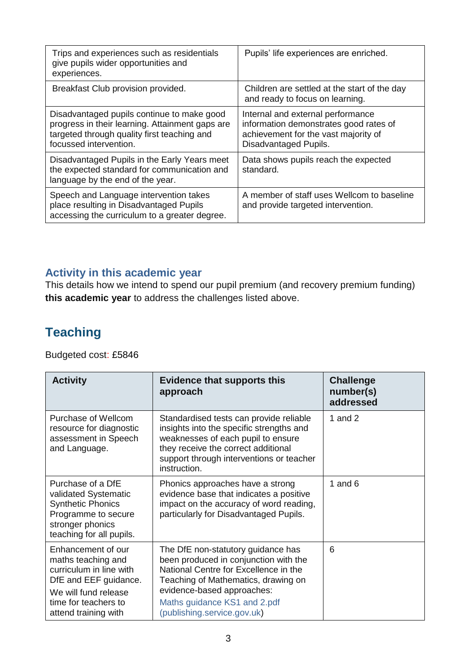| Trips and experiences such as residentials<br>give pupils wider opportunities and<br>experiences.                                                                      | Pupils' life experiences are enriched.                                                                                                       |
|------------------------------------------------------------------------------------------------------------------------------------------------------------------------|----------------------------------------------------------------------------------------------------------------------------------------------|
| Breakfast Club provision provided.                                                                                                                                     | Children are settled at the start of the day<br>and ready to focus on learning.                                                              |
| Disadvantaged pupils continue to make good<br>progress in their learning. Attainment gaps are<br>targeted through quality first teaching and<br>focussed intervention. | Internal and external performance<br>information demonstrates good rates of<br>achievement for the vast majority of<br>Disadvantaged Pupils. |
| Disadvantaged Pupils in the Early Years meet<br>the expected standard for communication and<br>language by the end of the year.                                        | Data shows pupils reach the expected<br>standard.                                                                                            |
| Speech and Language intervention takes<br>place resulting in Disadvantaged Pupils<br>accessing the curriculum to a greater degree.                                     | A member of staff uses Wellcom to baseline<br>and provide targeted intervention.                                                             |

#### **Activity in this academic year**

This details how we intend to spend our pupil premium (and recovery premium funding) **this academic year** to address the challenges listed above.

### **Teaching**

Budgeted cost: £5846

| <b>Activity</b>                                                                                                                                                      | <b>Evidence that supports this</b><br>approach                                                                                                                                                                                                           | <b>Challenge</b><br>number(s)<br>addressed |
|----------------------------------------------------------------------------------------------------------------------------------------------------------------------|----------------------------------------------------------------------------------------------------------------------------------------------------------------------------------------------------------------------------------------------------------|--------------------------------------------|
| Purchase of Wellcom<br>resource for diagnostic<br>assessment in Speech<br>and Language.                                                                              | Standardised tests can provide reliable<br>insights into the specific strengths and<br>weaknesses of each pupil to ensure<br>they receive the correct additional<br>support through interventions or teacher<br>instruction.                             | 1 and $2$                                  |
| Purchase of a DfE<br>validated Systematic<br><b>Synthetic Phonics</b><br>Programme to secure<br>stronger phonics<br>teaching for all pupils.                         | Phonics approaches have a strong<br>evidence base that indicates a positive<br>impact on the accuracy of word reading,<br>particularly for Disadvantaged Pupils.                                                                                         | 1 and $6$                                  |
| Enhancement of our<br>maths teaching and<br>curriculum in line with<br>DfE and EEF guidance.<br>We will fund release<br>time for teachers to<br>attend training with | The DfE non-statutory guidance has<br>been produced in conjunction with the<br>National Centre for Excellence in the<br>Teaching of Mathematics, drawing on<br>evidence-based approaches:<br>Maths guidance KS1 and 2.pdf<br>(publishing.service.gov.uk) | 6                                          |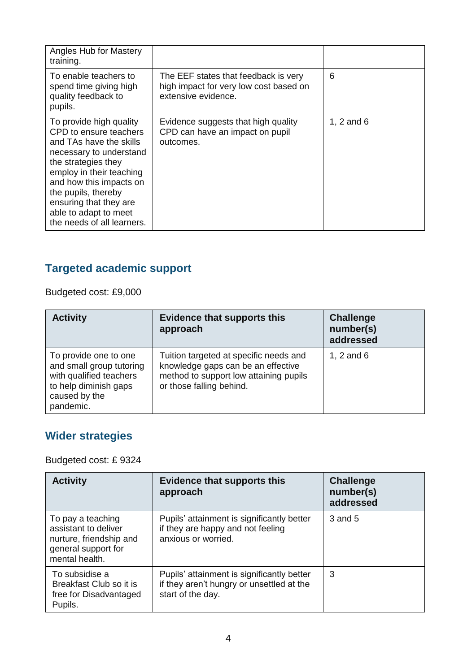| Angles Hub for Mastery<br>training.                                                                                                                                                                                                                                                           |                                                                                                       |                |
|-----------------------------------------------------------------------------------------------------------------------------------------------------------------------------------------------------------------------------------------------------------------------------------------------|-------------------------------------------------------------------------------------------------------|----------------|
| To enable teachers to<br>spend time giving high<br>quality feedback to<br>pupils.                                                                                                                                                                                                             | The EEF states that feedback is very<br>high impact for very low cost based on<br>extensive evidence. | 6              |
| To provide high quality<br>CPD to ensure teachers<br>and TAs have the skills<br>necessary to understand<br>the strategies they<br>employ in their teaching<br>and how this impacts on<br>the pupils, thereby<br>ensuring that they are<br>able to adapt to meet<br>the needs of all learners. | Evidence suggests that high quality<br>CPD can have an impact on pupil<br>outcomes.                   | 1, $2$ and $6$ |

### **Targeted academic support**

Budgeted cost: £9,000

| <b>Activity</b>                                                                                                                     | <b>Evidence that supports this</b><br>approach                                                                                                     | <b>Challenge</b><br>number(s)<br>addressed |
|-------------------------------------------------------------------------------------------------------------------------------------|----------------------------------------------------------------------------------------------------------------------------------------------------|--------------------------------------------|
| To provide one to one<br>and small group tutoring<br>with qualified teachers<br>to help diminish gaps<br>caused by the<br>pandemic. | Tuition targeted at specific needs and<br>knowledge gaps can be an effective<br>method to support low attaining pupils<br>or those falling behind. | 1, $2$ and $6$                             |

### **Wider strategies**

Budgeted cost: £ 9324

| <b>Activity</b>                                                                                               | <b>Evidence that supports this</b><br>approach                                                               | <b>Challenge</b><br>number(s)<br>addressed |
|---------------------------------------------------------------------------------------------------------------|--------------------------------------------------------------------------------------------------------------|--------------------------------------------|
| To pay a teaching<br>assistant to deliver<br>nurture, friendship and<br>general support for<br>mental health. | Pupils' attainment is significantly better<br>if they are happy and not feeling<br>anxious or worried.       | 3 and 5                                    |
| To subsidise a<br>Breakfast Club so it is<br>free for Disadvantaged<br>Pupils.                                | Pupils' attainment is significantly better<br>if they aren't hungry or unsettled at the<br>start of the day. | 3                                          |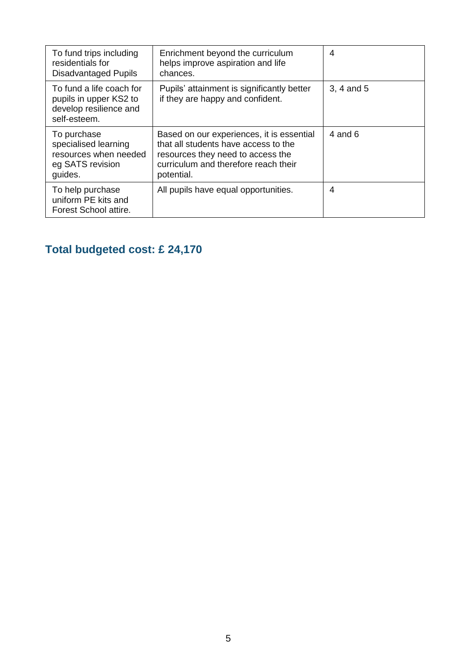| To fund trips including<br>residentials for<br><b>Disadvantaged Pupils</b>                   | Enrichment beyond the curriculum<br>helps improve aspiration and life<br>chances.                                                                                            | 4              |
|----------------------------------------------------------------------------------------------|------------------------------------------------------------------------------------------------------------------------------------------------------------------------------|----------------|
| To fund a life coach for<br>pupils in upper KS2 to<br>develop resilience and<br>self-esteem. | Pupils' attainment is significantly better<br>if they are happy and confident.                                                                                               | 3, 4 and 5     |
| To purchase<br>specialised learning<br>resources when needed<br>eg SATS revision<br>guides.  | Based on our experiences, it is essential<br>that all students have access to the<br>resources they need to access the<br>curriculum and therefore reach their<br>potential. | 4 and 6        |
| To help purchase<br>uniform PE kits and<br>Forest School attire.                             | All pupils have equal opportunities.                                                                                                                                         | $\overline{4}$ |

### **Total budgeted cost: £ 24,170**